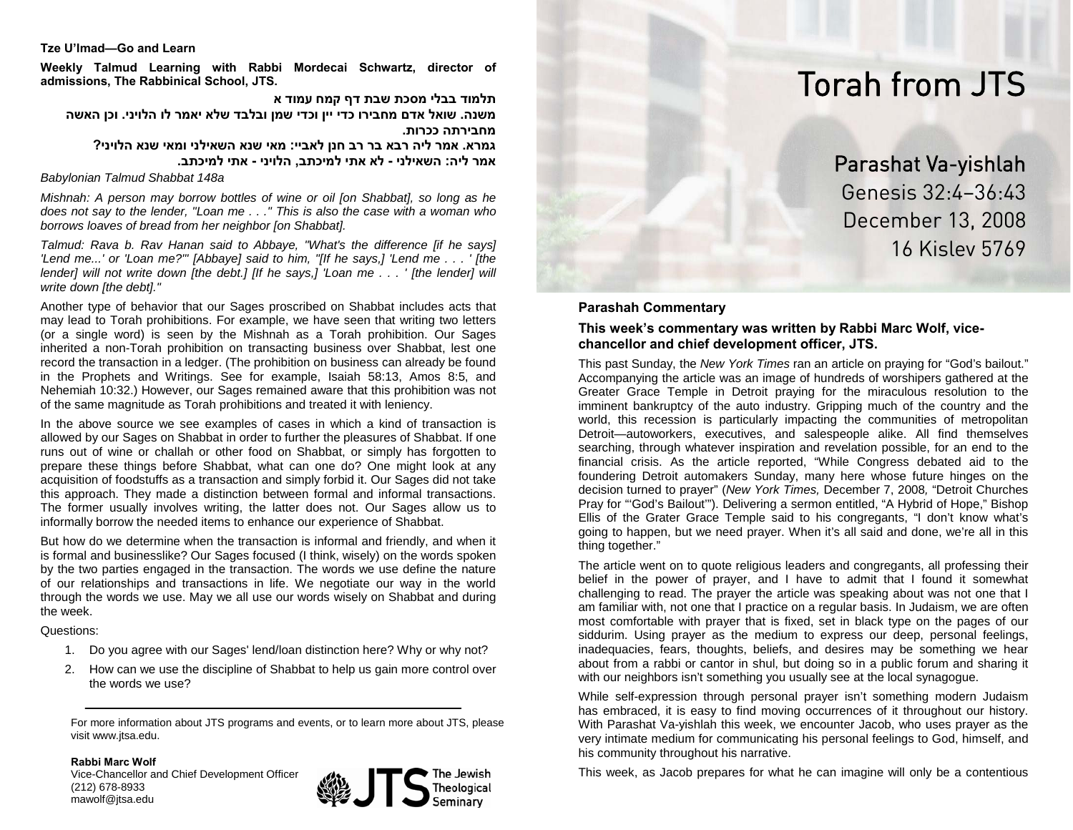#### **Tze U'lmad—Go and Learn**

**Weekly Talmud Learning with Rabbi Mordecai Schwartz, director of admissions, The Rabbinical School, JTS.**

**תלמוד בבלי מסכת שבת דף קמח עמוד א משנה. שואל אדם מחבירו כדי יין וכדי שמן ובלבד שלא יאמר לו הלויני. וכן האשה מחבירתה ככרות.**

**גמרא. אמר ליה רבא בר רב חנן לאביי: מאי שנא השאילני ומאי שנא הלויני? אמר ליה: השאילני - לא אתי למיכתב, הלויני - אתי למיכתב.**

*Babylonian Talmud Shabbat 148a*

*Mishnah: A person may borrow bottles of wine or oil [on Shabbat], so long as he does not say to the lender, "Loan me . . ." This is also the case with a woman who borrows loaves of bread from her neighbor [on Shabbat].* 

*Talmud: Rava b. Rav Hanan said to Abbaye, "What's the difference [if he says] 'Lend me...' or 'Loan me?'" [Abbaye] said to him, "[If he says,] 'Lend me . . . ' [the lender] will not write down [the debt.] [If he says,] 'Loan me ...' [the lender] will write down [the debt]."* 

Another type of behavior that our Sages proscribed on Shabbat includes acts that may lead to Torah prohibitions. For example, we have seen that writing two letters (or a single word) is seen by the Mishnah as a Torah prohibition. Our Sages inherited a non-Torah prohibition on transacting business over Shabbat, lest one record the transaction in a ledger. (The prohibition on business can already be found in the Prophets and Writings. See for example, Isaiah 58:13, Amos 8:5, and Nehemiah 10:32.) However, our Sages remained aware that this prohibition was not of the same magnitude as Torah prohibitions and treated it with leniency.

In the above source we see examples of cases in which a kind of transaction is allowed by our Sages on Shabbat in order to further the pleasures of Shabbat. If one runs out of wine or challah or other food on Shabbat, or simply has forgotten to prepare these things before Shabbat, what can one do? One might look at any acquisition of foodstuffs as a transaction and simply forbid it. Our Sages did not take this approach. They made a distinction between formal and informal transactions. The former usually involves writing, the latter does not. Our Sages allow us to informally borrow the needed items to enhance our experience of Shabbat.

But how do we determine when the transaction is informal and friendly, and when it is formal and businesslike? Our Sages focused (I think, wisely) on the words spoken by the two parties engaged in the transaction. The words we use define the nature of our relationships and transactions in life. We negotiate our way in the world through the words we use. May we all use our words wisely on Shabbat and during the week.

Questions:

- 1. Do you agree with our Sages' lend/loan distinction here? Why or why not?
- 2. How can we use the discipline of Shabbat to help us gain more control over the words we use?

For more information about JTS programs and events, or to learn more about JTS, please visit www.jtsa.edu.

**Rabbi Marc Wolf**Vice-Chancellor and Chief Development Officer (212) 678-8933 mawolf@jtsa.edu



# Torah from JTS

Parashat Va-yishlah Genesis 32:4–36:43 December 13, 2008 16 Kislev 5769

## **Parashah Commentary**

#### **This week's commentary was written by Rabbi Marc Wolf, vicechancellor and chief development officer, JTS.**

This past Sunday, the *New York Times* ran an article on praying for "God's bailout." Accompanying the article was an image of hundreds of worshipers gathered at the Greater Grace Temple in Detroit praying for the miraculous resolution to the imminent bankruptcy of the auto industry. Gripping much of the country and the world, this recession is particularly impacting the communities of metropolitan Detroit—autoworkers, executives, and salespeople alike. All find themselves searching, through whatever inspiration and revelation possible, for an end to the financial crisis. As the article reported, "While Congress debated aid to the foundering Detroit automakers Sunday, many here whose future hinges on the decision turned to prayer" (*New York Times,* December 7, 2008*,* "Detroit Churches Pray for "'God's Bailout'"). Delivering a sermon entitled, "A Hybrid of Hope," Bishop Ellis of the Grater Grace Temple said to his congregants, "I don't know what's going to happen, but we need prayer. When it's all said and done, we're all in this thing together."

The article went on to quote religious leaders and congregants, all professing their belief in the power of prayer, and I have to admit that I found it somewhat challenging to read. The prayer the article was speaking about was not one that I am familiar with, not one that I practice on a regular basis. In Judaism, we are often most comfortable with prayer that is fixed, set in black type on the pages of our siddurim. Using prayer as the medium to express our deep, personal feelings, inadequacies, fears, thoughts, beliefs, and desires may be something we hear about from a rabbi or cantor in shul, but doing so in a public forum and sharing it with our neighbors isn't something you usually see at the local synagogue.

While self-expression through personal prayer isn't something modern Judaism has embraced, it is easy to find moving occurrences of it throughout our history. With Parashat Va-yishlah this week, we encounter Jacob, who uses prayer as the very intimate medium for communicating his personal feelings to God, himself, and his community throughout his narrative.

This week, as Jacob prepares for what he can imagine will only be a contentious